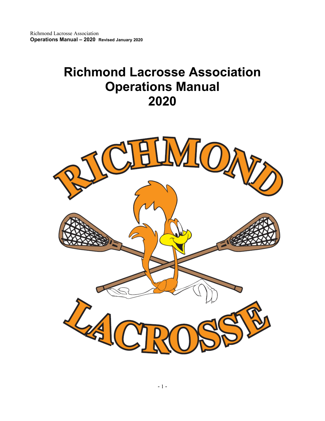# **Richmond Lacrosse Association Operations Manual 2020**

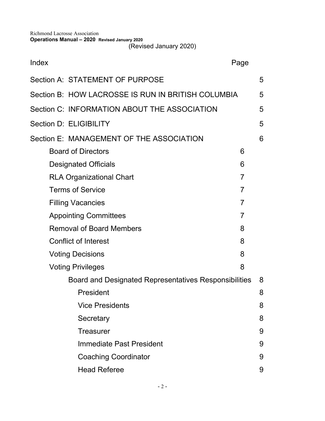(Revised January 2020)

| Index                                                 |                                                    | Page           |   |
|-------------------------------------------------------|----------------------------------------------------|----------------|---|
|                                                       | Section A: STATEMENT OF PURPOSE                    |                | 5 |
|                                                       | Section B: HOW LACROSSE IS RUN IN BRITISH COLUMBIA |                | 5 |
|                                                       | Section C: INFORMATION ABOUT THE ASSOCIATION       |                | 5 |
| Section D: ELIGIBILITY                                |                                                    |                | 5 |
|                                                       | Section E: MANAGEMENT OF THE ASSOCIATION           |                | 6 |
|                                                       | <b>Board of Directors</b>                          | 6              |   |
| <b>Designated Officials</b>                           |                                                    | 6              |   |
| <b>RLA Organizational Chart</b>                       |                                                    | $\overline{7}$ |   |
| <b>Terms of Service</b><br>$\overline{7}$             |                                                    |                |   |
| $\overline{7}$<br><b>Filling Vacancies</b>            |                                                    |                |   |
| $\overline{7}$<br><b>Appointing Committees</b>        |                                                    |                |   |
| 8<br><b>Removal of Board Members</b>                  |                                                    |                |   |
| <b>Conflict of Interest</b><br>8                      |                                                    |                |   |
| 8<br><b>Voting Decisions</b>                          |                                                    |                |   |
| 8<br><b>Voting Privileges</b>                         |                                                    |                |   |
| Board and Designated Representatives Responsibilities |                                                    |                | 8 |
|                                                       | President                                          |                | 8 |
|                                                       | <b>Vice Presidents</b>                             |                | 8 |
|                                                       | Secretary                                          |                | 8 |
|                                                       | Treasurer                                          |                | 9 |
|                                                       | Immediate Past President                           |                | 9 |
|                                                       | <b>Coaching Coordinator</b>                        |                | 9 |
|                                                       | <b>Head Referee</b>                                |                | 9 |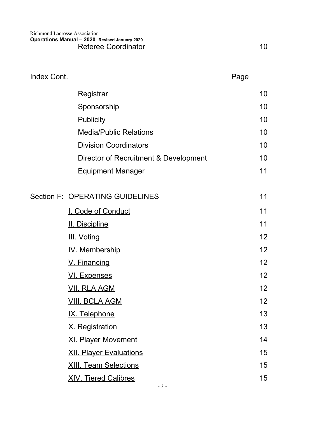| Index Cont. | Page                                  |  |    |
|-------------|---------------------------------------|--|----|
|             | Registrar                             |  | 10 |
|             | Sponsorship                           |  | 10 |
|             | <b>Publicity</b>                      |  | 10 |
|             | <b>Media/Public Relations</b>         |  | 10 |
|             | <b>Division Coordinators</b>          |  | 10 |
|             | Director of Recruitment & Development |  | 10 |
|             | <b>Equipment Manager</b>              |  | 11 |
|             | Section F: OPERATING GUIDELINES       |  | 11 |
|             | I. Code of Conduct                    |  | 11 |
|             | <b>II. Discipline</b>                 |  | 11 |
|             | <b>III. Voting</b>                    |  | 12 |
|             | IV. Membership                        |  | 12 |
|             | V. Financing                          |  | 12 |
|             | <u>VI. Expenses</u>                   |  | 12 |
|             | <b>VII. RLA AGM</b>                   |  | 12 |
|             | <u>VIII. BCLA AGM</u>                 |  | 12 |
|             | IX. Telephone                         |  | 13 |
|             | X. Registration                       |  | 13 |
|             | <b>XI. Player Movement</b>            |  | 14 |
|             | <b>XII. Player Evaluations</b>        |  | 15 |
|             | <b>XIII. Team Selections</b>          |  | 15 |
|             | <b>XIV. Tiered Calibres</b>           |  | 15 |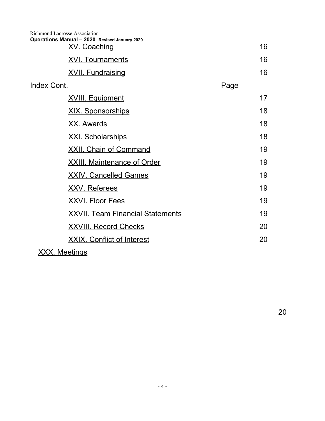|             | <b>Richmond Lacrosse Association</b><br>Operations Manual - 2020 Revised January 2020<br><b>XV. Coaching</b> |      | 16 |
|-------------|--------------------------------------------------------------------------------------------------------------|------|----|
|             | <b>XVI. Tournaments</b>                                                                                      |      | 16 |
|             | <b>XVII. Fundraising</b>                                                                                     |      | 16 |
| Index Cont. |                                                                                                              | Page |    |
|             | <b>XVIII. Equipment</b>                                                                                      |      | 17 |
|             | <u>XIX. Sponsorships</u>                                                                                     |      | 18 |
|             | <b>XX. Awards</b>                                                                                            |      | 18 |
|             | <b>XXI. Scholarships</b>                                                                                     |      | 18 |
|             | <b>XXII. Chain of Command</b>                                                                                |      | 19 |
|             | <b>XXIII. Maintenance of Order</b>                                                                           |      | 19 |
|             | <b>XXIV. Cancelled Games</b>                                                                                 |      | 19 |
|             | <b>XXV. Referees</b>                                                                                         |      | 19 |
|             | <u>XXVI. Floor Fees</u>                                                                                      |      | 19 |
|             | <b>XXVII. Team Financial Statements</b>                                                                      |      | 19 |
|             | <b>XXVIII. Record Checks</b>                                                                                 |      | 20 |
|             | <b>XXIX. Conflict of Interest</b>                                                                            |      | 20 |
|             |                                                                                                              |      |    |

# XXX. Meetings

20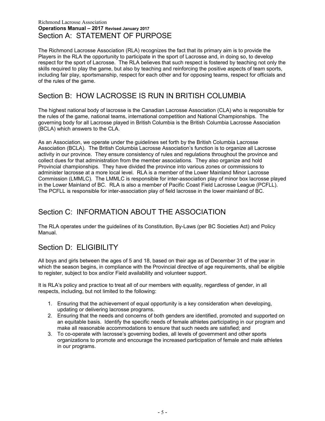#### Richmond Lacrosse Association **Operations Manual – 2017 Revised January 2017** Section A: STATEMENT OF PURPOSE

The Richmond Lacrosse Association (RLA) recognizes the fact that its primary aim is to provide the Players in the RLA the opportunity to participate in the sport of Lacrosse and, in doing so, to develop respect for the sport of Lacrosse. The RLA believes that such respect is fostered by teaching not only the skills required to play the game, but also by teaching and reinforcing the positive aspects of team sports, including fair play, sportsmanship, respect for each other and for opposing teams, respect for officials and of the rules of the game.

# Section B: HOW LACROSSE IS RUN IN BRITISH COLUMBIA

The highest national body of lacrosse is the Canadian Lacrosse Association (CLA) who is responsible for the rules of the game, national teams, international competition and National Championships. The governing body for all Lacrosse played in British Columbia is the British Columbia Lacrosse Association (BCLA) which answers to the CLA.

As an Association, we operate under the guidelines set forth by the British Columbia Lacrosse Association (BCLA). The British Columbia Lacrosse Association's function is to organize all Lacrosse activity in our province. They ensure consistency of rules and regulations throughout the province and collect dues for that administration from the member associations. They also organize and hold Provincial championships. They have divided the province into various zones or commissions to administer lacrosse at a more local level. RLA is a member of the Lower Mainland Minor Lacrosse Commission (LMMLC). The LMMLC is responsible for inter-association play of minor box lacrosse played in the Lower Mainland of BC. RLA is also a member of Pacific Coast Field Lacrosse League (PCFLL). The PCFLL is responsible for inter-association play of field lacrosse in the lower mainland of BC.

# Section C: INFORMATION ABOUT THE ASSOCIATION

The RLA operates under the guidelines of its Constitution, By-Laws (per BC Societies Act) and Policy Manual.

# Section D: ELIGIBILITY

All boys and girls between the ages of 5 and 18, based on their age as of December 31 of the year in which the season begins, in compliance with the Provincial directive of age requirements, shall be eligible to register, subject to box and/or Field availability and volunteer support.

It is RLA's policy and practice to treat all of our members with equality, regardless of gender, in all respects, including, but not limited to the following:

- 1. Ensuring that the achievement of equal opportunity is a key consideration when developing, updating or delivering lacrosse programs.
- 2. Ensuring that the needs and concerns of both genders are identified, promoted and supported on an equitable basis. Identify the specific needs of female athletes participating in our program and make all reasonable accommodations to ensure that such needs are satisfied; and
- 3. To co-operate with lacrosse's governing bodies, all levels of government and other sports organizations to promote and encourage the increased participation of female and male athletes in our programs.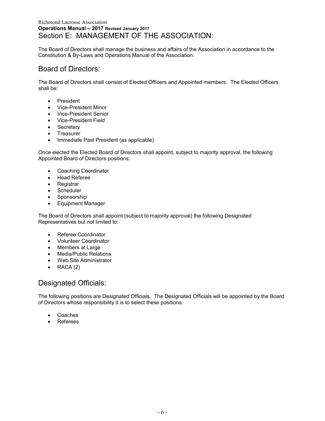#### Richmond Lacrosse Association **Operations Manual – 2017 Revised January 2017** Section E: MANAGEMENT OF THE ASSOCIATION:

The Board of Directors shall manage the business and affairs of the Association in accordance to the Constitution & By-Laws and Operations Manual of the Association.

### Board of Directors:

The Board of Directors shall consist of Elected Officers and Appointed members. The Elected Officers shall be:

- President
- Vice-President Minor
- Vice-President Senior
- Vice-President Field
- Secretary
- Treasurer
- Immediate Past President (as applicable)

Once elected the Elected Board of Directors shall appoint, subject to majority approval, the following Appointed Board of Directors positions:

- Coaching Coordinator
- Head Referee
- Registrar
- Scheduler
- Sponsorship
- Equipment Manager

The Board of Directors shall appoint (subject to majority approval) the following Designated Representatives but not limited to:

- Referee Coordinator
- Volunteer Coordinator
- Members at Large
- Media/Public Relations
- Web Site Administrator
- $\bullet$  RACA (2)

### Designated Officials:

The following positions are Designated Officials. The Designated Officials will be appointed by the Board of Directors whose responsibility it is to select these positions.

- Coaches
- Referees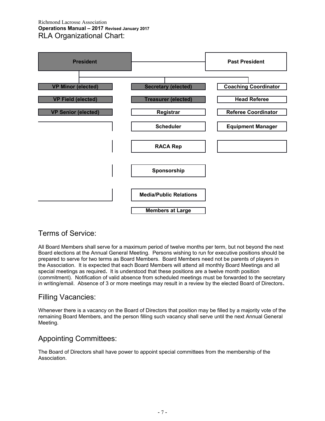#### Richmond Lacrosse Association **Operations Manual – 2017 Revised January 2017** RLA Organizational Chart:



# Terms of Service:

All Board Members shall serve for a maximum period of twelve months per term, but not beyond the next Board elections at the Annual General Meeting. Persons wishing to run for executive positions should be prepared to serve for two terms as Board Members. Board Members need not be parents of players in the Association. It is expected that each Board Members will attend all monthly Board Meetings and all special meetings as required**.** It is understood that these positions are a twelve month position (commitment). Notification of valid absence from scheduled meetings must be forwarded to the secretary in writing/email. Absence of 3 or more meetings may result in a review by the elected Board of Directors*.*

#### Filling Vacancies:

Whenever there is a vacancy on the Board of Directors that position may be filled by a majority vote of the remaining Board Members, and the person filling such vacancy shall serve until the next Annual General Meeting.

# Appointing Committees:

The Board of Directors shall have power to appoint special committees from the membership of the Association.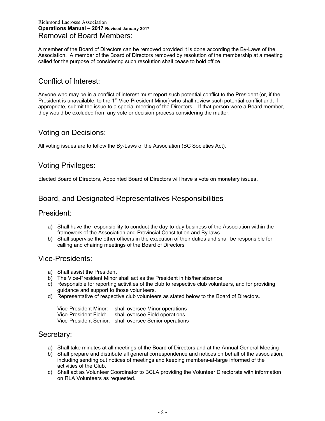#### Richmond Lacrosse Association **Operations Manual – 2017 Revised January 2017** Removal of Board Members:

A member of the Board of Directors can be removed provided it is done according the By-Laws of the Association. A member of the Board of Directors removed by resolution of the membership at a meeting called for the purpose of considering such resolution shall cease to hold office.

# Conflict of Interest:

Anyone who may be in a conflict of interest must report such potential conflict to the President (or, if the President is unavailable, to the 1<sup>st</sup> Vice-President Minor) who shall review such potential conflict and, if appropriate, submit the issue to a special meeting of the Directors. If that person were a Board member, they would be excluded from any vote or decision process considering the matter.

### Voting on Decisions:

All voting issues are to follow the By-Laws of the Association (BC Societies Act).

## Voting Privileges:

Elected Board of Directors, Appointed Board of Directors will have a vote on monetary issues.

### Board, and Designated Representatives Responsibilities

#### President:

- a) Shall have the responsibility to conduct the day-to-day business of the Association within the framework of the Association and Provincial Constitution and By-laws
- b) Shall supervise the other officers in the execution of their duties and shall be responsible for calling and chairing meetings of the Board of Directors

#### Vice-Presidents:

- a) Shall assist the President
- b) The Vice-President Minor shall act as the President in his/her absence
- c) Responsible for reporting activities of the club to respective club volunteers, and for providing guidance and support to those volunteers.
- d) Representative of respective club volunteers as stated below to the Board of Directors.

| Vice-President Minor: | shall oversee Minor operations                         |
|-----------------------|--------------------------------------------------------|
| Vice-President Field: | shall oversee Field operations                         |
|                       | Vice-President Senior: shall oversee Senior operations |

### Secretary:

- a) Shall take minutes at all meetings of the Board of Directors and at the Annual General Meeting
- b) Shall prepare and distribute all general correspondence and notices on behalf of the association, including sending out notices of meetings and keeping members-at-large informed of the activities of the Club.
- c) Shall act as Volunteer Coordinator to BCLA providing the Volunteer Directorate with information on RLA Volunteers as requested.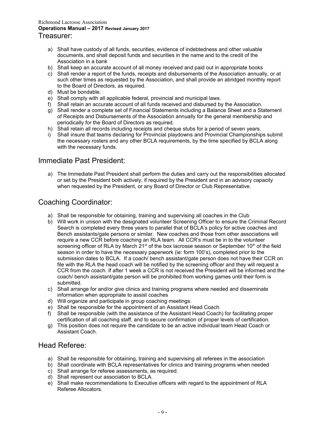#### Richmond Lacrosse Association **Operations Manual – 2017 Revised January 2017** Treasurer:

- a) Shall have custody of all funds, securities, evidence of indebtedness and other valuable documents, and shall deposit funds and securities in the name and to the credit of the Association in a bank
- b) Shall keep an accurate account of all money received and paid out in appropriate books
- c) Shall render a report of the funds, receipts and disbursements of the Association annually, or at such other times as requested by the Association, and shall provide an abridged monthly report to the Board of Directors, as required.
- d) Must be bondable.
- e) Shall comply with all applicable federal, provincial and municipal laws.
- f) Shall retain an accurate account of all funds received and disbursed by the Association.
- g) Shall render a complete set of Financial Statements including a Balance Sheet and a Statement of Receipts and Disbursements of the Association annually for the general membership and periodically for the Board of Directors as required.
- h) Shall retain all records including receipts and cheque stubs for a period of seven years.
- i) Shall insure that teams declaring for Provincial playdowns and Provincial Championships submit the necessary rosters and any other BCLA requirements, by the time specified by BCLA along with the necessary funds.

### Immediate Past President:

a) The Immediate Past President shall perform the duties and carry out the responsibilities allocated or set by the President both actively, if required by the President and in an advisory capacity when requested by the President, or any Board of Director or Club Representative.

### Coaching Coordinator:

- a) Shall be responsible for obtaining, training and supervising all coaches in the Club
- b) Will work in unison with the designated volunteer Screening Officer to ensure the Criminal Record Search is completed every three years to parallel that of BCLA's policy for active coaches and Bench assistants/gate persons or similar. New coaches and those from other associations will require a new CCR before coaching an RLA team. All CCR's must be in to the volunteer screening officer of RLA by March  $21<sup>st</sup>$  of the box lacrosse season or September 10<sup>th</sup> of the field season in order to have the necessary paperwork (ie: form 100's), completed prior to the submission dates to BCLA. If a coach/ bench assistant/gate person does not have their CCR on file with the RLA the head coach will be notified by the screening officer and they will request a CCR from the coach. If after 1 week a CCR is not received the President will be informed and the coach/ bench assistant/gate person will be prohibited from working games until their form is submitted.
- c) Shall arrange for and/or give clinics and training programs where needed and disseminate information when appropriate to assist coaches
- d) Will organize and participate in group coaching meetings.
- e) Shall be responsible for the appointment of an Assistant Head Coach
- f) Shall be responsible (with the assistance of the Assistant Head Coach) for facilitating proper certification of all coaching staff, and to secure confirmation of proper levels of certification.
- g) This position does not require the candidate to be an active individual team Head Coach or Assistant Coach.

#### Head Referee:

- a) Shall be responsible for obtaining, training and supervising all referees in the association
- b) Shall coordinate with BCLA representatives for clinics and training programs when needed
- c) Shall arrange for referee assessments, as required.
- d) Shall represent our association to BCLA.
- e) Shall make recommendations to Executive officers with regard to the appointment of RLA Referee Allocators.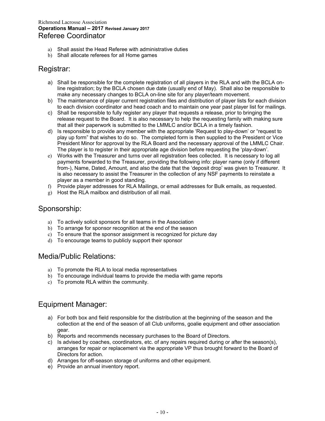#### Richmond Lacrosse Association **Operations Manual – 2017 Revised January 2017** Referee Coordinator

- a) Shall assist the Head Referee with administrative duties
- b) Shall allocate referees for all Home games

#### Registrar:

- a) Shall be responsible for the complete registration of all players in the RLA and with the BCLA online registration; by the BCLA chosen due date (usually end of May). Shall also be responsible to make any necessary changes to BCLA on-line site for any player/team movement.
- b) The maintenance of player current registration files and distribution of player lists for each division to each division coordinator and head coach and to maintain one year past player list for mailings.
- c) Shall be responsible to fully register any player that requests a release, prior to bringing the release request to the Board. It is also necessary to help the requesting family with making sure that all their paperwork is submitted to the LMMLC and/or BCLA in a timely fashion.
- d) Is responsible to provide any member with the appropriate 'Request to play-down' or "request to play up form" that wishes to do so. The completed form is then supplied to the President or Vice President Minor for approval by the RLA Board and the necessary approval of the LMMLC Chair. The player is to register in their appropriate age division before requesting the 'play-down'.
- e) Works with the Treasurer and turns over all registration fees collected. It is necessary to log all payments forwarded to the Treasurer, providing the following info: player name (only if different from-), Name, Dated, Amount, and also the date that the 'deposit drop' was given to Treasurer. It is also necessary to assist the Treasurer in the collection of any NSF payments to reinstate a player as a member in good standing.
- f) Provide player addresses for RLA Mailings, or email addresses for Bulk emails, as requested.
- g) Host the RLA mailbox and distribution of all mail.

### Sponsorship:

- a) To actively solicit sponsors for all teams in the Association
- b) To arrange for sponsor recognition at the end of the season
- c) To ensure that the sponsor assignment is recognized for picture day
- d) To encourage teams to publicly support their sponsor

#### Media/Public Relations:

- a) To promote the RLA to local media representatives
- b) To encourage individual teams to provide the media with game reports
- c) To promote RLA within the community.

### Equipment Manager:

- a) For both box and field responsible for the distribution at the beginning of the season and the collection at the end of the season of all Club uniforms, goalie equipment and other association gear.
- b) Reports and recommends necessary purchases to the Board of Directors.
- c) Is advised by coaches, coordinators, etc. of any repairs required during or after the season(s), arranges for repair or replacement via the appropriate VP thus brought forward to the Board of Directors for action.
- d) Arranges for off-season storage of uniforms and other equipment.
- e) Provide an annual inventory report.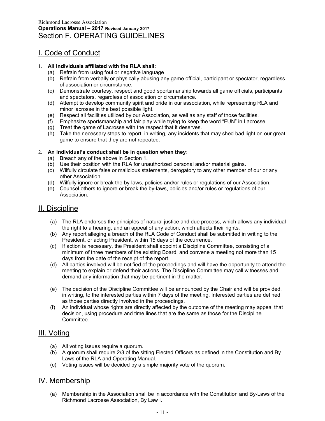# I. Code of Conduct

#### 1. **All individuals affiliated with the RLA shall**:

- (a) Refrain from using foul or negative language
- (b) Refrain from verbally or physically abusing any game official, participant or spectator, regardless of association or circumstance.
- (c) Demonstrate courtesy, respect and good sportsmanship towards all game officials, participants and spectators, regardless of association or circumstance.
- (d) Attempt to develop community spirit and pride in our association, while representing RLA and minor lacrosse in the best possible light.
- (e) Respect all facilities utilized by our Association, as well as any staff of those facilities.
- (f) Emphasize sportsmanship and fair play while trying to keep the word "FUN" in Lacrosse.
- (g) Treat the game of Lacrosse with the respect that it deserves.
- (h) Take the necessary steps to report, in writing, any incidents that may shed bad light on our great game to ensure that they are not repeated.

#### 2. **An individual's conduct shall be in question when they**:

- (a) Breach any of the above in Section 1.
- (b) Use their position with the RLA for unauthorized personal and/or material gains.
- (c) Wilfully circulate false or malicious statements, derogatory to any other member of our or any other Association.
- (d) Wilfully ignore or break the by-laws, policies and/or rules or regulations of our Association.
- (e) Counsel others to ignore or break the by-laws, policies and/or rules or regulations of our Association.

### II. Discipline

- (a) The RLA endorses the principles of natural justice and due process, which allows any individual the right to a hearing, and an appeal of any action, which affects their rights.
- (b) Any report alleging a breach of the RLA Code of Conduct shall be submitted in writing to the President, or acting President, within 15 days of the occurrence.
- (c) If action is necessary, the President shall appoint a Discipline Committee, consisting of a minimum of three members of the existing Board, and convene a meeting not more than 15 days from the date of the receipt of the report.
- (d) All parties involved will be notified of the proceedings and will have the opportunity to attend the meeting to explain or defend their actions. The Discipline Committee may call witnesses and demand any information that may be pertinent in the matter.
- (e) The decision of the Discipline Committee will be announced by the Chair and will be provided, in writing, to the interested parties within 7 days of the meeting. Interested parties are defined as those parties directly involved in the proceedings.
- (f) An individual whose rights are directly affected by the outcome of the meeting may appeal that decision, using procedure and time lines that are the same as those for the Discipline Committee.

### III. Voting

- (a) All voting issues require a quorum.
- (b) A quorum shall require 2/3 of the sitting Elected Officers as defined in the Constitution and By Laws of the RLA and Operating Manual.
- (c) Voting issues will be decided by a simple majority vote of the quorum.

# IV. Membership

(a) Membership in the Association shall be in accordance with the Constitution and By-Laws of the Richmond Lacrosse Association, By Law I.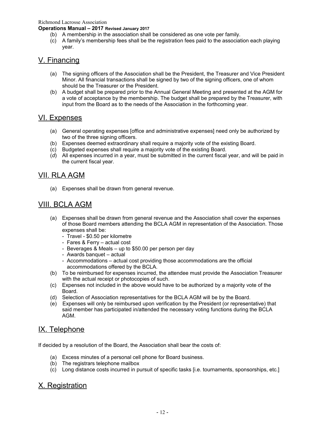Richmond Lacrosse Association

**Operations Manual – 2017 Revised January 2017**

- (b) A membership in the association shall be considered as one vote per family.
- (c) A family's membership fees shall be the registration fees paid to the association each playing year.

### V. Financing

- (a) The signing officers of the Association shall be the President, the Treasurer and Vice President Minor. All financial transactions shall be signed by two of the signing officers, one of whom should be the Treasurer or the President.
- (b) A budget shall be prepared prior to the Annual General Meeting and presented at the AGM for a vote of acceptance by the membership. The budget shall be prepared by the Treasurer, with input from the Board as to the needs of the Association in the forthcoming year.

#### VI. Expenses

- (a) General operating expenses [office and administrative expenses] need only be authorized by two of the three signing officers.
- (b) Expenses deemed extraordinary shall require a majority vote of the existing Board.
- (c) Budgeted expenses shall require a majority vote of the existing Board.
- (*d*) All expenses incurred in a year, must be submitted in the current fiscal year, and will be paid in the current fiscal year.

#### VII. RLA AGM

(a) Expenses shall be drawn from general revenue.

## VIII. BCLA AGM

- (a) Expenses shall be drawn from general revenue and the Association shall cover the expenses of those Board members attending the BCLA AGM in representation of the Association. Those expenses shall be:
	- Travel \$0.50 per kilometre
	- Fares & Ferry actual cost
	- Beverages & Meals up to \$50.00 per person per day
	- Awards banquet actual
	- Accommodations actual cost providing those accommodations are the official accommodations offered by the BCLA.
- (b) To be reimbursed for expenses incurred, the attendee must provide the Association Treasurer with the actual receipt or photocopies of such.
- (c) Expenses not included in the above would have to be authorized by a majority vote of the Board.
- (d) Selection of Association representatives for the BCLA AGM will be by the Board.
- (e) Expenses will only be reimbursed upon verification by the President (or representative) that said member has participated in/attended the necessary voting functions during the BCLA AGM.

# IX. Telephone

If decided by a resolution of the Board, the Association shall bear the costs of:

- (a) Excess minutes of a personal cell phone for Board business.
- (b) The registrars telephone mailbox
- (c) Long distance costs incurred in pursuit of specific tasks [i.e. tournaments, sponsorships, etc.]

### X. Registration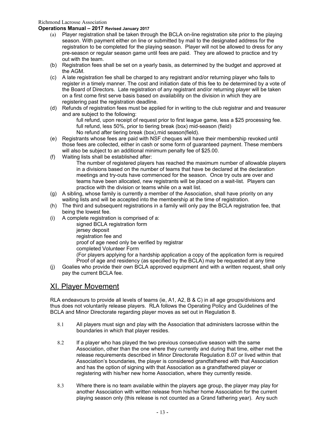#### **Operations Manual – 2017 Revised January 2017**

- (a) Player registration shall be taken through the BCLA on-line registration site prior to the playing season. With payment either on line or submitted by mail to the designated address for the registration to be completed for the playing season. Player will not be allowed to dress for any pre-season or regular season game until fees are paid. They are allowed to practice and try out with the team.
- (b) Registration fees shall be set on a yearly basis, as determined by the budget and approved at the AGM.
- (c) A late registration fee shall be charged to any registrant and/or returning player who fails to register in a timely manner. The cost and initiation date of this fee to *be* determined by a vote of the Board of Directors. Late registration of any registrant and/or returning player will be taken on a first come first serve basis based on availability on the division in which they are registering past the registration deadline.
- (d) Refunds of registration fees must be applied for in writing to the club registrar and and treasurer and are subject to the following:

full refund, upon receipt of request prior to first league game, less a \$25 processing fee. full refund, less 50%, prior to tiering break (box) mid-season (field) No refund after tiering break (box),mid season(field).

- (e) Registrants whose fees are paid with NSF cheques will have their membership revoked until those fees are collected, either in cash or some form of guaranteed payment. These members will also be subject to an additional minimum penalty fee of \$25.00.
- (f) Waiting lists shall be established after:
	- The number of registered players has reached the maximum number of allowable players in a divisions based on the number of teams that have be declared at the declaration meetings and try-outs have commenced for the season. Once try outs are over and teams have been allocated, new registrants will be placed on a wait-list. Players can practice with the division or teams while on a wait list.
- (g) A sibling, whose family is currently a member of the Association, shall have priority on any waiting lists and will be accepted into the membership at the time of registration.
- (h) The third and subsequent registrations in a family will only pay the BCLA registration fee, that being the lowest fee.
- (i) A complete registration is comprised of a:

signed BCLA registration form jersey deposit registration fee and proof of age need only be verified by registrar completed Volunteer Form (For players applying for a hardship application a copy of the application form is required Proof of age and residency (as specified by the BCLA) may be requested at any time

(j) Goalies who provide their own BCLA approved equipment and with a written request, shall only pay the current BCLA fee.

### XI. Player Movement

RLA endeavours to provide all levels of teams (ie, A1, A2, B & C) in all age groups/divisions and thus does not voluntarily release players. RLA follows the Operating Policy and Guidelines of the BCLA and Minor Directorate regarding player moves as set out in Regulation 8.

- 8.1 All players must sign and play with the Association that administers lacrosse within the boundaries in which that player resides.
- 8.2 If a player who has played the two previous consecutive season with the same Association, other than the one where they currently and during that time, either met the release requirements described in Minor Directorate Regulation 8.07 or lived within that Association's boundaries, the player is considered grandfathered with that Association and has the option of signing with that Association as a grandfathered player or registering with his/her new home Association, where they currently reside.
- 8.3 Where there is no team available within the players age group, the player may play for another Association with written release from his/her home Association for the current playing season only (this release is not counted as a Grand fathering year).Any such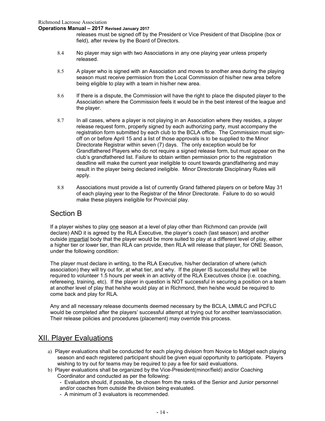#### **Operations Manual – 2017 Revised January 2017**

releases must be signed off by the President or Vice President of that Discipline (box or field), after review by the Board of Directors.

- 8.4 No player may sign with two Associations in any one playing year unless properly released.
- 8.5 A player who is signed with an Association and moves to another area during the playing season must receive permission from the Local Commission of his/her new area before being eligible to play with a team in his/her new area.
- 8.6 If there is a dispute, the Commission will have the right to place the disputed player to the Association where the Commission feels it would be in the best interest of the league and the player.
- 8.7 In all cases, where a player is not playing in an Association where they resides, a player release request form, properly signed by each authorizing party, must accompany the registration form submitted by each club to the BCLA office. The Commission must signoff on or before April 15 and a list of those approvals is to be supplied to the Minor Directorate Registrar within seven (7) days.The only exception would be for Grandfathered Players who do not require a signed release form, but must appear on the club's grandfathered list. Failure to obtain written permission prior to the registration deadline will make the current year ineligible to count towards grandfathering and may result in the player being declared ineligible. Minor Directorate Disciplinary Rules will apply.
- 8.8 Associations must provide a list of currently Grand fathered players on or before May 31 of each playing year to the Registrar of the Minor Directorate. Failure to do so would make these players ineligible for Provincial play.

### Section B

If a player wishes to play one season at a level of play other than Richmond can provide (will declare) AND it is agreed by the RLA Executive, the player's coach (last season) and another outside impartial body that the player would be more suited to play at a different level of play, either a higher tier or lower tier, than RLA can provide, then RLA will release that player, for ONE Season, under the following condition:

The player must declare in writing, to the RLA Executive, his/her declaration of where (which association) they will try out for, at what tier, and why. If the player IS successful they will be required to volunteer 1.5 hours per week in an activity of the RLA Executives choice (i.e. coaching, refereeing, training, etc). If the player in question is NOT successful in securing a position on a team at another level of play that he/she would play at in Richmond, then he/she would be required to come back and play for RLA.

Any and all necessary release documents deemed necessary by the BCLA, LMMLC and PCFLC would be completed after the players' successful attempt at trying out for another team/association. Their release policies and procedures (placement) may override this process.

### XII. Player Evaluations

- a) Player evaluations shall be conducted for each playing division from Novice to Midget each playing season and each registered participant should be given equal opportunity to participate. Players wishing to try out for teams may be required to pay a fee for said evaluations.
- b) Player evaluations shall be organized by the Vice-President(minor/field) and/or Coaching Coordinator and conducted as per the following:
	- Evaluators should, if possible, be chosen from the ranks of the Senior and Junior personnel and/or coaches from outside the division being evaluated.
	- A minimum of 3 evaluators is recommended.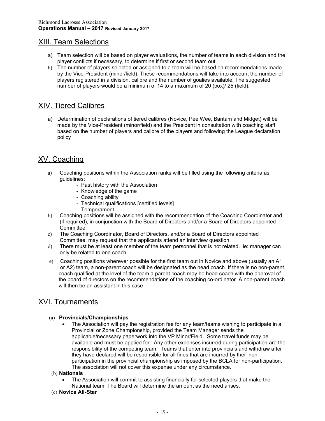### XIII. Team Selections

- a) Team selection will be based on player evaluations, the number of teams in each division and the player conflicts if necessary, to determine if first or second team out
- b) The number of players selected or assigned to a team will be based on recommendations made by the Vice-President (minor/field). These recommendations will take into account the number of players registered in a division, calibre and the number of goalies available. The suggested number of players would be a minimum of 14 to a maximum of 20 (box)/ 25 (field).

## XIV. Tiered Calibres

a) Determination of declarations of tiered calibres (Novice, Pee Wee, Bantam and Midget) will be made by the Vice-President (minor/field) and the President in consultation with coaching staff based on the number of players and calibre of the players and following the League declaration policy

# XV. Coaching

- a) Coaching positions within the Association ranks will be filled using the following criteria as guidelines:
	- Past history with the Association
	- Knowledge of the game
	- Coaching ability
	- Technical qualifications [certified levels]
	- Temperament
- b) Coaching positions will be assigned with the recommendation of the Coaching Coordinator and (if required), in conjunction with the Board of Directors and/or a Board of Directors appointed Committee.
- c) The Coaching Coordinator, Board of Directors, and/or a Board of Directors appointed Committee, may request that the applicants attend an interview question.
- d) There must be at least one member of the team personnel that is not related. ie: manager can only be related to one coach.
- e) Coaching positions wherever possible for the first team out in Novice and above (usually an A1 or A2) team, a non-parent coach will be designated as the head coach. If there is no non-parent coach qualified at the level of the team a parent coach may be head coach with the approval of the board of directors on the recommendations of the coaching co-ordinator. A non-parent coach will then be an assistant in this case

# XVI. Tournaments

#### (a) **Provincials/Championships**

 The Association will pay the registration fee for any team/teams wishing to participate in a Provincial or Zone Championship, provided the Team Manager sends the applicable/necessary paperwork into the VP Minor/Field. Some travel funds may be available and must be applied for. Any other expenses incurred during participation are the responsibility of the competing team. Teams that enter into provincials and withdraw after they have declared will be responsible for all fines that are incurred by their nonparticipation in the provincial championship as imposed by the BCLA for non-participation. The association will not cover this expense under any circumstance.

#### (b) **Nationals**

 The Association will commit to assisting financially for selected players that make the National team. The Board will determine the amount as the need arises.

#### (c) **Novice All-Star**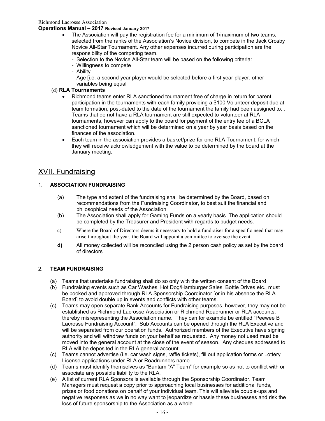#### Richmond Lacrosse Association

#### **Operations Manual – 2017 Revised January 2017**

- The Association will pay the registration fee for a minimum of 1/maximum of two teams, selected from the ranks of the Association's Novice division, to compete in the Jack Crosby Novice All-Star Tournament. Any other expenses incurred during participation are the responsibility of the competing team.
	- Selection to the Novice All-Star team will be based on the following criteria:
	- Willingness to compete
	- Ability
	- Age [i.e. a second year player would be selected before a first year player, other variables being equal

#### (d) **RLA Tournaments**

- Richmond teams enter RLA sanctioned tournament free of charge in return for parent participation in the tournaments with each family providing a \$100 Volunteer deposit due at team formation, post-dated to the date of the tournament the family had been assigned to. . Teams that do not have a RLA tournament are still expected to volunteer at RLA tournaments, however can apply to the board for payment of the entry fee of a BCLA sanctioned tournament which will be determined on a year by year basis based on the finances of the association.
- Each team in the association provides a basket/prize for one RLA Tournament, for which they will receive acknowledgement with the value to be determined by the board at the January meeting.

### XVII. Fundraising

#### 1. **ASSOCIATION FUNDRAISING**

- (a) The type and extent of the fundraising shall be determined by the Board, based on recommendations from the Fundraising Coordinator, to best suit the financial and philosophical needs of the Association.
- (b) The Association shall apply for Gaming Funds on a yearly basis. The application should be completed by the Treasurer and President with regards to budget needs.
- c) Where the Board of Directors deems it necessary to hold a fundraiser for a specific need that may arise throughout the year, the Board will appoint a committee to oversee the event.
- **d)** All money collected will be reconciled using the 2 person cash policy as set by the board of directors

#### 2. **TEAM FUNDRAISING**

- (a) Teams that undertake fundraising shall do so only with the written consent of the Board
- (b) Fundraising events such as Car Washes, Hot Dog/Hamburger Sales, Bottle Drives etc., must be booked and approved through RLA Sponsorship Coordinator [or in his absence the RLA Board] to avoid double up in events and conflicts with other teams.
- (c) Teams may open separate Bank Accounts for Fundraising purposes, however, they may not be established as Richmond Lacrosse Association or Richmond Roadrunner or RLA accounts, thereby misrepresenting the Association name. They can for example be entitled "Peewee B Lacrosse Fundraising Account". Sub Accounts can be opened through the RLA Executive and will be separated from our operation funds. Authorized members of the Executive have signing authority and will withdraw funds on your behalf as requested. Any money not used must be moved into the general account at the close of the event of season. Any cheques addressed to RLA will be deposited in the RLA general account.
- (c) Teams cannot advertise (i.e. car wash signs, raffle tickets), fill out application forms or Lottery License applications under RLA or Roadrunners name.
- (d) Teams must identify themselves as "Bantam "A" Team" for example so as not to conflict with or associate any possible liability to the RLA.
- (e) A list of current RLA Sponsors is available through the Sponsorship Coordinator. Team Managers must request a copy prior to approaching local businesses for additional funds, prizes or food donations on behalf of your individual team. This will alleviate double-ups and negative responses as we in no way want to jeopardize or hassle these businesses and risk the loss of future sponsorship to the Association as a whole.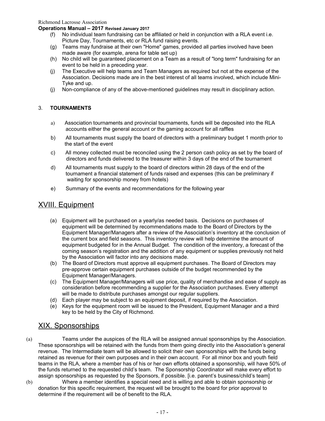#### **Operations Manual – 2017 Revised January 2017**

- (f) No individual team fundraising can be affiliated or held in conjunction with a RLA event i.e. Picture Day, Tournaments, etc or RLA fund raising events.
- (g) Teams may fundraise at their own "Home" games, provided all parties involved have been made aware (for example, arena for table set up)
- (h) No child will be guaranteed placement on a Team as a result of "long term" fundraising for an event to be held in a preceding year.
- (j) The Executive will help teams and Team Managers as required but not at the expense of the Association. Decisions made are in the best interest of all teams involved, which include Mini-Tyke and up.
- (j) Non-compliance of any of the above-mentioned guidelines may result in disciplinary action.

#### 3. **TOURNAMENTS**

- a) Association tournaments and provincial tournaments, funds will be deposited into the RLA accounts either the general account or the gaming account for all raffles
- b) All tournaments must supply the board of directors with a preliminary budget 1 month prior to the start of the event
- c) All money collected must be reconciled using the 2 person cash policy as set by the board of directors and funds delivered to the treasurer within 3 days of the end of the tournament
- d) All tournaments must supply to the board of directors within 28 days of the end of the tournament a financial statement of funds raised and expenses (this can be preliminary if waiting for sponsorship money from hotels)
- e) Summary of the events and recommendations for the following year

### XVIII. Equipment

- (a) Equipment will be purchased on a yearly/as needed basis. Decisions on purchases of equipment will be determined by recommendations made to the Board of Directors by the Equipment Manager/Managers after a review of the Association's inventory at the conclusion of the current box and field seasons. This inventory review will help determine the amount of equipment budgeted for in the Annual Budget. The condition of the inventory, a forecast of the coming season's registration and the addition of any equipment or supplies previously not held by the Association will factor into any decisions made.
- (b) The Board of Directors must approve all equipment purchases. The Board of Directors may pre-approve certain equipment purchases outside of the budget recommended by the Equipment Manager/Managers.
- (c) The Equipment Manager/Managers will use price, quality of merchandise and ease of supply as consideration before recommending a supplier for the Association purchases. Every attempt will be made to distribute purchases amongst our regular suppliers.
- (d) Each player may be subject to an equipment deposit, if required by the Association.
- (e) Keys for the equipment room will be issued to the President, Equipment Manager and a third key to be held by the City of Richmond.

### XIX. Sponsorships

- (a) Teams under the auspices of the RLA will be assigned annual sponsorships by the Association. These sponsorships will be retained with the funds from them going directly into the Association's general revenue. The Intermediate team will be allowed to solicit their own sponsorships with the funds being retained as revenue for their own purposes and in their own account. For all minor box and youth field teams in the RLA, where a member has of his or her own efforts obtained a sponsorship, will have 50% of the funds returned to the requested child's team. The Sponsorship Coordinator will make every effort to assign sponsorships as requested by the Sponsors, if possible. [i.e. parent's business/child's team]
- (b) Where a member identifies a special need and is willing and able to obtain sponsorship or donation for this specific requirement, the request will be brought to the board for prior approval to determine if the requirement will be of benefit to the RLA.
	- 17 -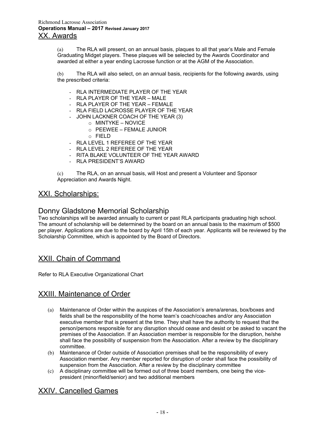(a) The RLA will present, on an annual basis, plaques to all that year's Male and Female Graduating Midget players. These plaques will be selected by the Awards Coordinator and awarded at either a year ending Lacrosse function or at the AGM of the Association.

(b) The RLA will also select, on an annual basis, recipients for the following awards, using the prescribed criteria:

- RLA INTERMEDIATE PLAYER OF THE YEAR
- RLA PLAYER OF THE YEAR MALE
- RLA PLAYER OF THE YEAR FEMALE
- RLA FIELD LACROSSE PLAYER OF THE YEAR
- JOHN LACKNER COACH OF THE YEAR (3)
	- o MINTYKE NOVICE
	- o PEEWEE FEMALE JUNIOR
	- o FIELD
- RLA LEVEL 1 REFEREE OF THE YEAR
- RLA LEVEL 2 REFEREE OF THE YEAR
- RITA BLAKE VOLUNTEER OF THE YEAR AWARD
- RLA PRESIDENT'S AWARD

(c) The RLA, on an annual basis, will Host and present a Volunteer and Sponsor Appreciation and Awards Night.

#### XXI. Scholarships:

#### Donny Gladstone Memorial Scholarship

Two scholarships will be awarded annually to current or past RLA participants graduating high school. The amount of scholarship will be determined by the board on an annual basis to the maximum of \$500 per player. Applications are due to the board by April 15th of each year. Applicants will be reviewed by the Scholarship Committee, which is appointed by the Board of Directors.

#### XXII. Chain of Command

Refer to RLA Executive Organizational Chart

#### XXIII. Maintenance of Order

- (a) Maintenance of Order within the auspices of the Association's arena/arenas, box/boxes and fields shall be the responsibility of the home team's coach/coaches and/or any Association executive member that is present at the time. They shall have the authority to request that the person/persons responsible for any disruption should cease and desist or be asked to vacant the premises of the Association. If an Association member is responsible for the disruption, he/she shall face the possibility of suspension from the Association. After a review by the disciplinary committee.
- (b) Maintenance of Order outside of Association premises shall be the responsibility of every Association member. Any member reported for disruption of order shall face the possibility of suspension from the Association. After a review by the disciplinary committee
- (c) A disciplinary committee will be formed out of three board members, one being the vicepresident (minor/field/senior) and two additional members

### XXIV. Cancelled Games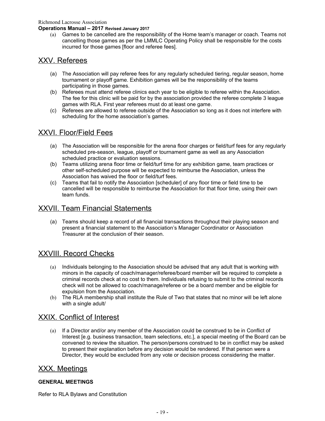Richmond Lacrosse Association

#### **Operations Manual – 2017 Revised January 2017**

(a) Games to be cancelled are the responsibility of the Home team's manager or coach. Teams not cancelling those games as per the LMMLC Operating Policy shall be responsible for the costs incurred for those games [floor and referee fees].

### XXV. Referees

- (a) The Association will pay referee fees for any regularly scheduled tiering, regular season, home tournament or playoff game. Exhibition games will be the responsibility of the teams participating in those games.
- (b) Referees must attend referee clinics each year to be eligible to referee within the Association. The fee for this clinic will be paid for by the association provided the referee complete 3 league games with RLA. First year referees must do at least one game.
- (c) Referees are allowed to referee outside of the Association so long as it does not interfere with scheduling for the home association's games.

### XXVI. Floor/Field Fees

- (a) The Association will be responsible for the arena floor charges or field/turf fees for any regularly scheduled pre-season, league, playoff or tournament game as well as any Association scheduled practice or evaluation sessions.
- (b) Teams utilizing arena floor time or field/turf time for any exhibition game, team practices or other self-scheduled purpose will be expected to reimburse the Association, unless the Association has waived the floor or field/turf fees.
- (c) Teams that fail to notify the Association [scheduler] of any floor time or field time to be cancelled will be responsible to reimburse the Association for that floor time, using their own team funds.

# XXVII. Team Financial Statements

(a) Teams should keep a record of all financial transactions throughout their playing season and present a financial statement to the Association's Manager Coordinator or Association Treasurer at the conclusion of their season.

### XXVIII. Record Checks

- (a) Individuals belonging to the Association should be advised that any adult that is working with minors in the capacity of coach/manager/referee/board member will be required to complete a criminal records check at no cost to them. Individuals refusing to submit to the criminal records check will not be allowed to coach/manage/referee or be a board member and be eligible for expulsion from the Association.
- (b) The RLA membership shall institute the Rule of Two that states that no minor will be left alone with a single adult/

#### XXIX. Conflict of Interest

(a) If a Director and/or any member of the Association could be construed to be in Conflict of Interest [e.g. business transaction, team selections, etc.], a special meeting of the Board can be convened to review the situation. The person/persons construed to be in conflict may be asked to present their explanation before any decision would be rendered. If that person were a Director, they would be excluded from any vote or decision process considering the matter.

#### XXX. Meetings

#### **GENERAL MEETINGS**

Refer to RLA Bylaws and Constitution